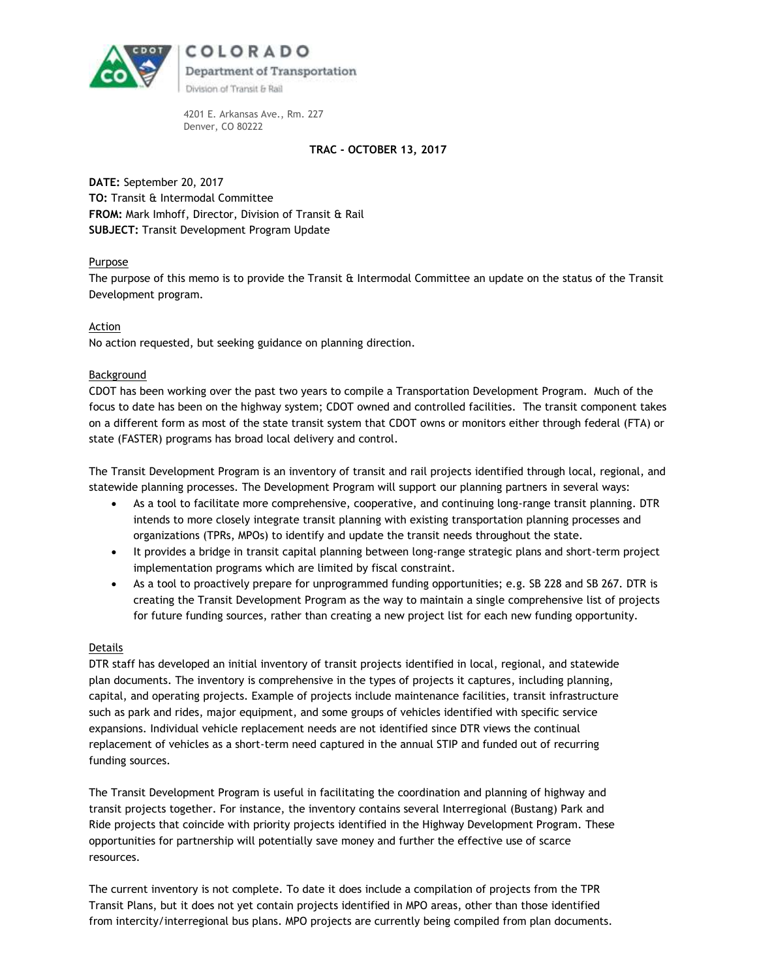

4201 E. Arkansas Ave., Rm. 227 Denver, CO 80222

## **TRAC - OCTOBER 13, 2017**

**DATE:** September 20, 2017 **TO:** Transit & Intermodal Committee **FROM:** Mark Imhoff, Director, Division of Transit & Rail **SUBJECT:** Transit Development Program Update

## Purpose

The purpose of this memo is to provide the Transit & Intermodal Committee an update on the status of the Transit Development program.

## Action

No action requested, but seeking guidance on planning direction.

## Background

CDOT has been working over the past two years to compile a Transportation Development Program. Much of the focus to date has been on the highway system; CDOT owned and controlled facilities. The transit component takes on a different form as most of the state transit system that CDOT owns or monitors either through federal (FTA) or state (FASTER) programs has broad local delivery and control.

The Transit Development Program is an inventory of transit and rail projects identified through local, regional, and statewide planning processes. The Development Program will support our planning partners in several ways:

- As a tool to facilitate more comprehensive, cooperative, and continuing long-range transit planning. DTR intends to more closely integrate transit planning with existing transportation planning processes and organizations (TPRs, MPOs) to identify and update the transit needs throughout the state.
- It provides a bridge in transit capital planning between long-range strategic plans and short-term project implementation programs which are limited by fiscal constraint.
- As a tool to proactively prepare for unprogrammed funding opportunities; e.g. SB 228 and SB 267. DTR is creating the Transit Development Program as the way to maintain a single comprehensive list of projects for future funding sources, rather than creating a new project list for each new funding opportunity.

## Details

DTR staff has developed an initial inventory of transit projects identified in local, regional, and statewide plan documents. The inventory is comprehensive in the types of projects it captures, including planning, capital, and operating projects. Example of projects include maintenance facilities, transit infrastructure such as park and rides, major equipment, and some groups of vehicles identified with specific service expansions. Individual vehicle replacement needs are not identified since DTR views the continual replacement of vehicles as a short-term need captured in the annual STIP and funded out of recurring funding sources.

The Transit Development Program is useful in facilitating the coordination and planning of highway and transit projects together. For instance, the inventory contains several Interregional (Bustang) Park and Ride projects that coincide with priority projects identified in the Highway Development Program. These opportunities for partnership will potentially save money and further the effective use of scarce resources.

The current inventory is not complete. To date it does include a compilation of projects from the TPR Transit Plans, but it does not yet contain projects identified in MPO areas, other than those identified from intercity/interregional bus plans. MPO projects are currently being compiled from plan documents.